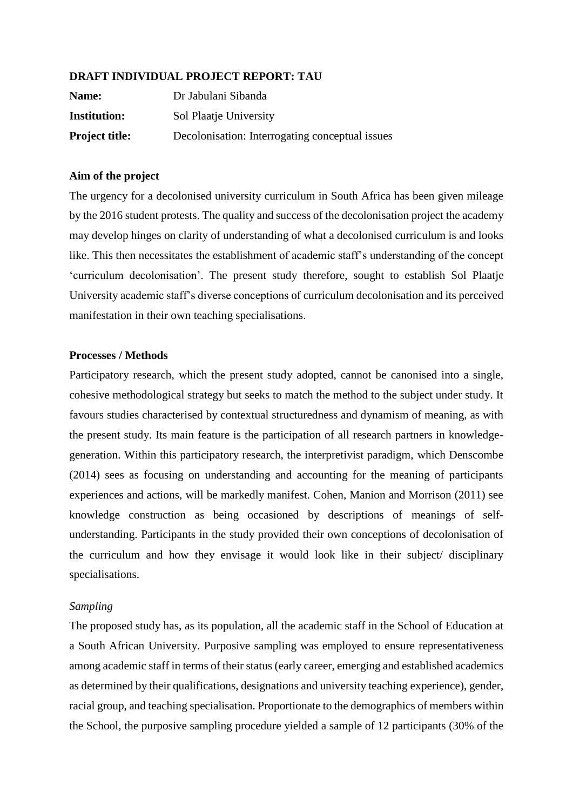## **DRAFT INDIVIDUAL PROJECT REPORT: TAU**

| Name:                 | Dr Jabulani Sibanda                             |  |  |  |  |
|-----------------------|-------------------------------------------------|--|--|--|--|
| <b>Institution:</b>   | Sol Plaatje University                          |  |  |  |  |
| <b>Project title:</b> | Decolonisation: Interrogating conceptual issues |  |  |  |  |

## **Aim of the project**

The urgency for a decolonised university curriculum in South Africa has been given mileage by the 2016 student protests. The quality and success of the decolonisation project the academy may develop hinges on clarity of understanding of what a decolonised curriculum is and looks like. This then necessitates the establishment of academic staff's understanding of the concept 'curriculum decolonisation'. The present study therefore, sought to establish Sol Plaatje University academic staff's diverse conceptions of curriculum decolonisation and its perceived manifestation in their own teaching specialisations.

## **Processes / Methods**

Participatory research, which the present study adopted, cannot be canonised into a single, cohesive methodological strategy but seeks to match the method to the subject under study. It favours studies characterised by contextual structuredness and dynamism of meaning, as with the present study. Its main feature is the participation of all research partners in knowledgegeneration. Within this participatory research, the interpretivist paradigm, which Denscombe (2014) sees as focusing on understanding and accounting for the meaning of participants experiences and actions, will be markedly manifest. Cohen, Manion and Morrison (2011) see knowledge construction as being occasioned by descriptions of meanings of selfunderstanding. Participants in the study provided their own conceptions of decolonisation of the curriculum and how they envisage it would look like in their subject/ disciplinary specialisations.

## *Sampling*

The proposed study has, as its population, all the academic staff in the School of Education at a South African University. Purposive sampling was employed to ensure representativeness among academic staff in terms of their status (early career, emerging and established academics as determined by their qualifications, designations and university teaching experience), gender, racial group, and teaching specialisation. Proportionate to the demographics of members within the School, the purposive sampling procedure yielded a sample of 12 participants (30% of the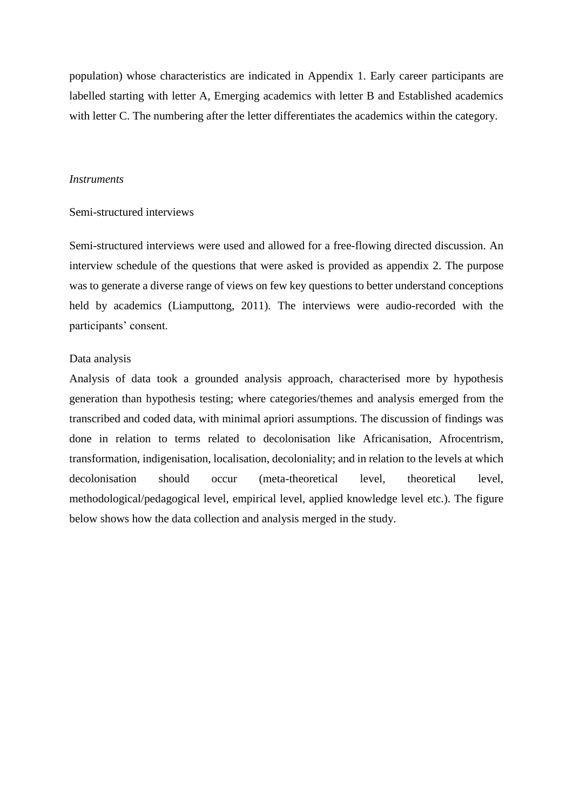population) whose characteristics are indicated in Appendix 1. Early career participants are labelled starting with letter A, Emerging academics with letter B and Established academics with letter C. The numbering after the letter differentiates the academics within the category.

#### *Instruments*

#### Semi-structured interviews

Semi-structured interviews were used and allowed for a free-flowing directed discussion. An interview schedule of the questions that were asked is provided as appendix 2. The purpose was to generate a diverse range of views on few key questions to better understand conceptions held by academics (Liamputtong, 2011). The interviews were audio-recorded with the participants' consent.

### Data analysis

Analysis of data took a grounded analysis approach, characterised more by hypothesis generation than hypothesis testing; where categories/themes and analysis emerged from the transcribed and coded data, with minimal apriori assumptions. The discussion of findings was done in relation to terms related to decolonisation like Africanisation, Afrocentrism, transformation, indigenisation, localisation, decoloniality; and in relation to the levels at which decolonisation should occur (meta-theoretical level, theoretical level, methodological/pedagogical level, empirical level, applied knowledge level etc.). The figure below shows how the data collection and analysis merged in the study.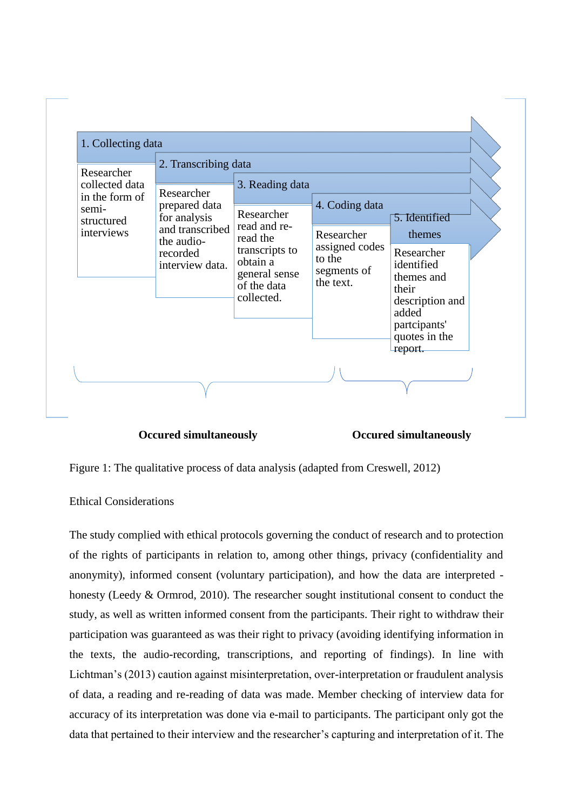

 **Occured simultaneously Occured simultaneously**

Figure 1: The qualitative process of data analysis (adapted from Creswell, 2012)

## Ethical Considerations

The study complied with ethical protocols governing the conduct of research and to protection of the rights of participants in relation to, among other things, privacy (confidentiality and anonymity), informed consent (voluntary participation), and how the data are interpreted honesty (Leedy & Ormrod, 2010). The researcher sought institutional consent to conduct the study, as well as written informed consent from the participants. Their right to withdraw their participation was guaranteed as was their right to privacy (avoiding identifying information in the texts, the audio-recording, transcriptions, and reporting of findings). In line with Lichtman's (2013) caution against misinterpretation, over-interpretation or fraudulent analysis of data, a reading and re-reading of data was made. Member checking of interview data for accuracy of its interpretation was done via e-mail to participants. The participant only got the data that pertained to their interview and the researcher's capturing and interpretation of it. The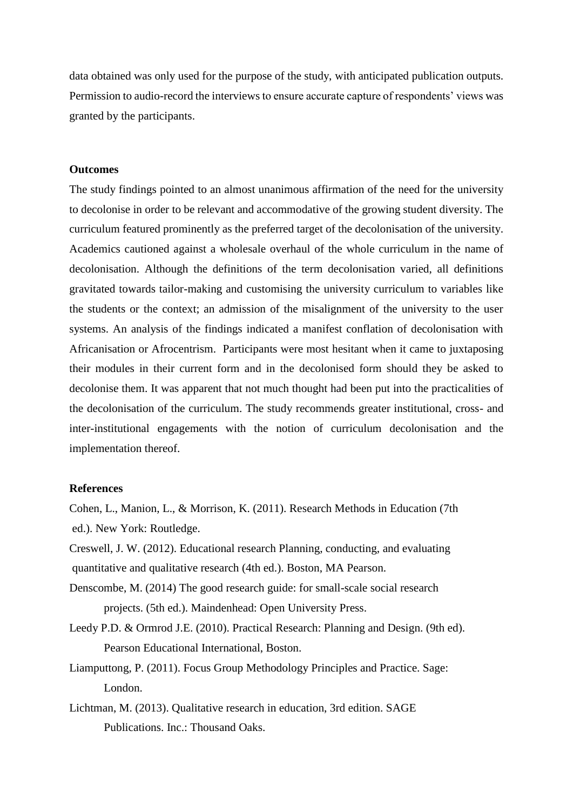data obtained was only used for the purpose of the study, with anticipated publication outputs. Permission to audio-record the interviews to ensure accurate capture of respondents' views was granted by the participants.

#### **Outcomes**

The study findings pointed to an almost unanimous affirmation of the need for the university to decolonise in order to be relevant and accommodative of the growing student diversity. The curriculum featured prominently as the preferred target of the decolonisation of the university. Academics cautioned against a wholesale overhaul of the whole curriculum in the name of decolonisation. Although the definitions of the term decolonisation varied, all definitions gravitated towards tailor-making and customising the university curriculum to variables like the students or the context; an admission of the misalignment of the university to the user systems. An analysis of the findings indicated a manifest conflation of decolonisation with Africanisation or Afrocentrism. Participants were most hesitant when it came to juxtaposing their modules in their current form and in the decolonised form should they be asked to decolonise them. It was apparent that not much thought had been put into the practicalities of the decolonisation of the curriculum. The study recommends greater institutional, cross- and inter-institutional engagements with the notion of curriculum decolonisation and the implementation thereof.

### **References**

Cohen, L., Manion, L., & Morrison, K. (2011). Research Methods in Education (7th ed.). New York: Routledge.

- Creswell, J. W. (2012). Educational research Planning, conducting, and evaluating quantitative and qualitative research (4th ed.). Boston, MA Pearson.
- Denscombe, M. (2014) The good research guide: for small-scale social research projects. (5th ed.). Maindenhead: Open University Press.
- Leedy P.D. & Ormrod J.E. (2010). Practical Research: Planning and Design. (9th ed). Pearson Educational International, Boston.
- Liamputtong, P. (2011). Focus Group Methodology Principles and Practice. Sage: London.
- Lichtman, M. (2013). Qualitative research in education, 3rd edition. SAGE Publications. Inc.: Thousand Oaks.